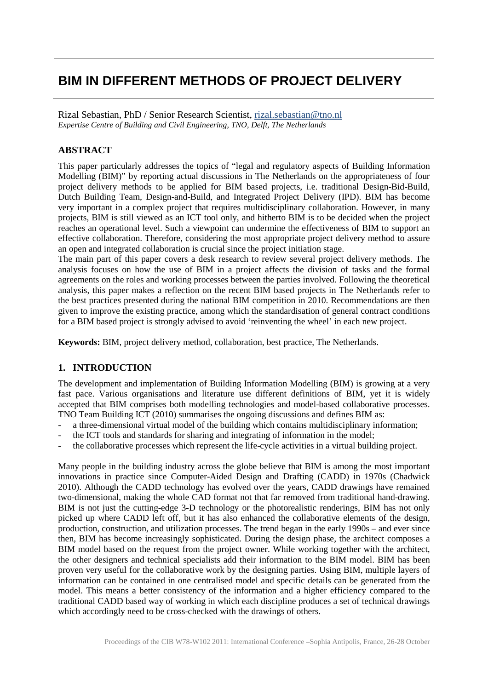# **BIM IN DIFFERENT METHODS OF PROJECT DELIVERY**

Rizal Sebastian, PhD / Senior Research Scientist, [rizal.sebastian@tno.nl](mailto:Alain.Zarli@cstb.fr) *Expertise Centre of Building and Civil Engineering, TNO, Delft, The Netherlands*

# **ABSTRACT**

This paper particularly addresses the topics of "legal and regulatory aspects of Building Information Modelling (BIM)" by reporting actual discussions in The Netherlands on the appropriateness of four project delivery methods to be applied for BIM based projects, i.e. traditional Design-Bid-Build, Dutch Building Team, Design-and-Build, and Integrated Project Delivery (IPD). BIM has become very important in a complex project that requires multidisciplinary collaboration. However, in many projects, BIM is still viewed as an ICT tool only, and hitherto BIM is to be decided when the project reaches an operational level. Such a viewpoint can undermine the effectiveness of BIM to support an effective collaboration. Therefore, considering the most appropriate project delivery method to assure an open and integrated collaboration is crucial since the project initiation stage.

The main part of this paper covers a desk research to review several project delivery methods. The analysis focuses on how the use of BIM in a project affects the division of tasks and the formal agreements on the roles and working processes between the parties involved. Following the theoretical analysis, this paper makes a reflection on the recent BIM based projects in The Netherlands refer to the best practices presented during the national BIM competition in 2010. Recommendations are then given to improve the existing practice, among which the standardisation of general contract conditions for a BIM based project is strongly advised to avoid 'reinventing the wheel' in each new project.

**Keywords:** BIM, project delivery method, collaboration, best practice, The Netherlands.

## **1. INTRODUCTION**

The development and implementation of Building Information Modelling (BIM) is growing at a very fast pace. Various organisations and literature use different definitions of BIM, yet it is widely accepted that BIM comprises both modelling technologies and model-based collaborative processes. TNO Team Building ICT (2010) summarises the ongoing discussions and defines BIM as:

- a three-dimensional virtual model of the building which contains multidisciplinary information;
- the ICT tools and standards for sharing and integrating of information in the model;
- the collaborative processes which represent the life-cycle activities in a virtual building project.

Many people in the building industry across the globe believe that BIM is among the most important innovations in practice since Computer-Aided Design and Drafting (CADD) in 1970s (Chadwick 2010). Although the CADD technology has evolved over the years, CADD drawings have remained two-dimensional, making the whole CAD format not that far removed from traditional hand-drawing. BIM is not just the cutting-edge 3-D technology or the photorealistic renderings. BIM has not only picked up where CADD left off, but it has also enhanced the collaborative elements of the design, production, construction, and utilization processes. The trend began in the early 1990s – and ever since then, BIM has become increasingly sophisticated. During the design phase, the architect composes a BIM model based on the request from the project owner. While working together with the architect, the other designers and technical specialists add their information to the BIM model. BIM has been proven very useful for the collaborative work by the designing parties. Using BIM, multiple layers of information can be contained in one centralised model and specific details can be generated from the model. This means a better consistency of the information and a higher efficiency compared to the traditional CADD based way of working in which each discipline produces a set of technical drawings which accordingly need to be cross-checked with the drawings of others.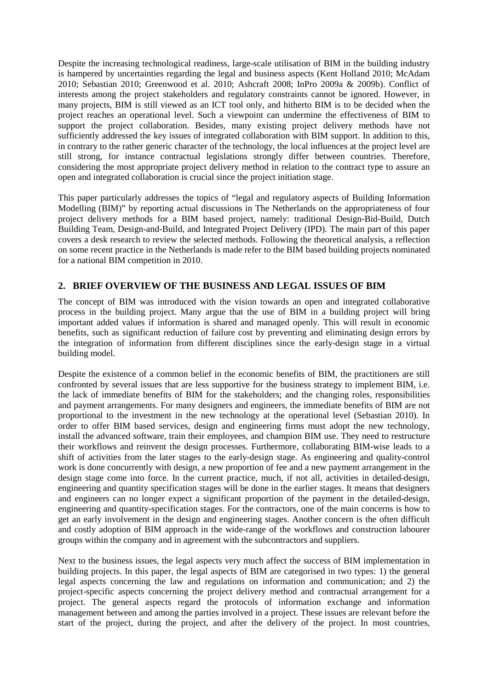Despite the increasing technological readiness, large-scale utilisation of BIM in the building industry is hampered by uncertainties regarding the legal and business aspects (Kent Holland 2010; McAdam 2010; Sebastian 2010; Greenwood et al. 2010; Ashcraft 2008; InPro 2009a & 2009b). Conflict of interests among the project stakeholders and regulatory constraints cannot be ignored. However, in many projects, BIM is still viewed as an ICT tool only, and hitherto BIM is to be decided when the project reaches an operational level. Such a viewpoint can undermine the effectiveness of BIM to support the project collaboration. Besides, many existing project delivery methods have not sufficiently addressed the key issues of integrated collaboration with BIM support. In addition to this, in contrary to the rather generic character of the technology, the local influences at the project level are still strong, for instance contractual legislations strongly differ between countries. Therefore, considering the most appropriate project delivery method in relation to the contract type to assure an open and integrated collaboration is crucial since the project initiation stage.

This paper particularly addresses the topics of "legal and regulatory aspects of Building Information Modelling (BIM)" by reporting actual discussions in The Netherlands on the appropriateness of four project delivery methods for a BIM based project, namely: traditional Design-Bid-Build, Dutch Building Team, Design-and-Build, and Integrated Project Delivery (IPD). The main part of this paper covers a desk research to review the selected methods. Following the theoretical analysis, a reflection on some recent practice in the Netherlands is made refer to the BIM based building projects nominated for a national BIM competition in 2010.

# **2. BRIEF OVERVIEW OF THE BUSINESS AND LEGAL ISSUES OF BIM**

The concept of BIM was introduced with the vision towards an open and integrated collaborative process in the building project. Many argue that the use of BIM in a building project will bring important added values if information is shared and managed openly. This will result in economic benefits, such as significant reduction of failure cost by preventing and eliminating design errors by the integration of information from different disciplines since the early-design stage in a virtual building model.

Despite the existence of a common belief in the economic benefits of BIM, the practitioners are still confronted by several issues that are less supportive for the business strategy to implement BIM, i.e. the lack of immediate benefits of BIM for the stakeholders; and the changing roles, responsibilities and payment arrangements. For many designers and engineers, the immediate benefits of BIM are not proportional to the investment in the new technology at the operational level (Sebastian 2010). In order to offer BIM based services, design and engineering firms must adopt the new technology, install the advanced software, train their employees, and champion BIM use. They need to restructure their workflows and reinvent the design processes. Furthermore, collaborating BIM-wise leads to a shift of activities from the later stages to the early-design stage. As engineering and quality-control work is done concurrently with design, a new proportion of fee and a new payment arrangement in the design stage come into force. In the current practice, much, if not all, activities in detailed-design, engineering and quantity specification stages will be done in the earlier stages. It means that designers and engineers can no longer expect a significant proportion of the payment in the detailed-design, engineering and quantity-specification stages. For the contractors, one of the main concerns is how to get an early involvement in the design and engineering stages. Another concern is the often difficult and costly adoption of BIM approach in the wide-range of the workflows and construction labourer groups within the company and in agreement with the subcontractors and suppliers.

Next to the business issues, the legal aspects very much affect the success of BIM implementation in building projects. In this paper, the legal aspects of BIM are categorised in two types: 1) the general legal aspects concerning the law and regulations on information and communication; and 2) the project-specific aspects concerning the project delivery method and contractual arrangement for a project. The general aspects regard the protocols of information exchange and information management between and among the parties involved in a project. These issues are relevant before the start of the project, during the project, and after the delivery of the project. In most countries,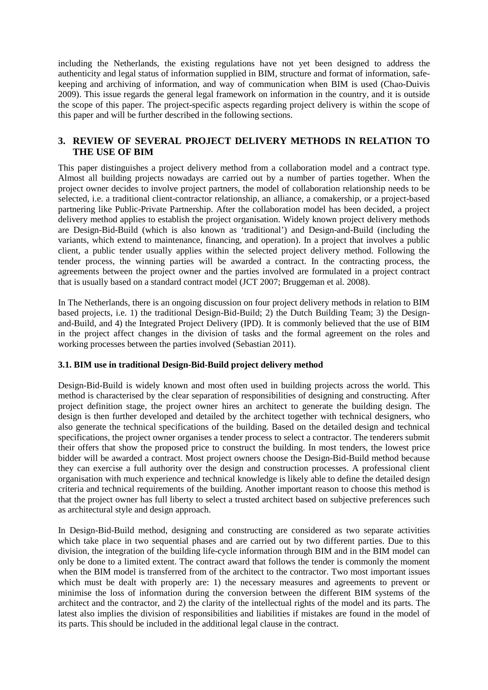including the Netherlands, the existing regulations have not yet been designed to address the authenticity and legal status of information supplied in BIM, structure and format of information, safekeeping and archiving of information, and way of communication when BIM is used (Chao-Duivis 2009). This issue regards the general legal framework on information in the country, and it is outside the scope of this paper. The project-specific aspects regarding project delivery is within the scope of this paper and will be further described in the following sections.

# **3. REVIEW OF SEVERAL PROJECT DELIVERY METHODS IN RELATION TO THE USE OF BIM**

This paper distinguishes a project delivery method from a collaboration model and a contract type. Almost all building projects nowadays are carried out by a number of parties together. When the project owner decides to involve project partners, the model of collaboration relationship needs to be selected, i.e. a traditional client-contractor relationship, an alliance, a comakership, or a project-based partnering like Public-Private Partnership. After the collaboration model has been decided, a project delivery method applies to establish the project organisation. Widely known project delivery methods are Design-Bid-Build (which is also known as 'traditional') and Design-and-Build (including the variants, which extend to maintenance, financing, and operation). In a project that involves a public client, a public tender usually applies within the selected project delivery method. Following the tender process, the winning parties will be awarded a contract. In the contracting process, the agreements between the project owner and the parties involved are formulated in a project contract that is usually based on a standard contract model (JCT 2007; Bruggeman et al. 2008).

In The Netherlands, there is an ongoing discussion on four project delivery methods in relation to BIM based projects, i.e. 1) the traditional Design-Bid-Build; 2) the Dutch Building Team; 3) the Designand-Build, and 4) the Integrated Project Delivery (IPD). It is commonly believed that the use of BIM in the project affect changes in the division of tasks and the formal agreement on the roles and working processes between the parties involved (Sebastian 2011).

#### **3.1. BIM use in traditional Design-Bid-Build project delivery method**

Design-Bid-Build is widely known and most often used in building projects across the world. This method is characterised by the clear separation of responsibilities of designing and constructing. After project definition stage, the project owner hires an architect to generate the building design. The design is then further developed and detailed by the architect together with technical designers, who also generate the technical specifications of the building. Based on the detailed design and technical specifications, the project owner organises a tender process to select a contractor. The tenderers submit their offers that show the proposed price to construct the building. In most tenders, the lowest price bidder will be awarded a contract. Most project owners choose the Design-Bid-Build method because they can exercise a full authority over the design and construction processes. A professional client organisation with much experience and technical knowledge is likely able to define the detailed design criteria and technical requirements of the building. Another important reason to choose this method is that the project owner has full liberty to select a trusted architect based on subjective preferences such as architectural style and design approach.

In Design-Bid-Build method, designing and constructing are considered as two separate activities which take place in two sequential phases and are carried out by two different parties. Due to this division, the integration of the building life-cycle information through BIM and in the BIM model can only be done to a limited extent. The contract award that follows the tender is commonly the moment when the BIM model is transferred from of the architect to the contractor. Two most important issues which must be dealt with properly are: 1) the necessary measures and agreements to prevent or minimise the loss of information during the conversion between the different BIM systems of the architect and the contractor, and 2) the clarity of the intellectual rights of the model and its parts. The latest also implies the division of responsibilities and liabilities if mistakes are found in the model of its parts. This should be included in the additional legal clause in the contract.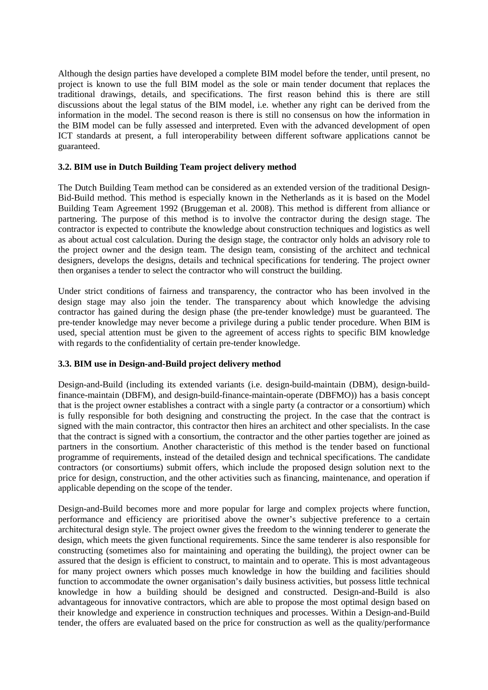Although the design parties have developed a complete BIM model before the tender, until present, no project is known to use the full BIM model as the sole or main tender document that replaces the traditional drawings, details, and specifications. The first reason behind this is there are still discussions about the legal status of the BIM model, i.e. whether any right can be derived from the information in the model. The second reason is there is still no consensus on how the information in the BIM model can be fully assessed and interpreted. Even with the advanced development of open ICT standards at present, a full interoperability between different software applications cannot be guaranteed.

#### **3.2. BIM use in Dutch Building Team project delivery method**

The Dutch Building Team method can be considered as an extended version of the traditional Design-Bid-Build method. This method is especially known in the Netherlands as it is based on the Model Building Team Agreement 1992 (Bruggeman et al. 2008). This method is different from alliance or partnering. The purpose of this method is to involve the contractor during the design stage. The contractor is expected to contribute the knowledge about construction techniques and logistics as well as about actual cost calculation. During the design stage, the contractor only holds an advisory role to the project owner and the design team. The design team, consisting of the architect and technical designers, develops the designs, details and technical specifications for tendering. The project owner then organises a tender to select the contractor who will construct the building.

Under strict conditions of fairness and transparency, the contractor who has been involved in the design stage may also join the tender. The transparency about which knowledge the advising contractor has gained during the design phase (the pre-tender knowledge) must be guaranteed. The pre-tender knowledge may never become a privilege during a public tender procedure. When BIM is used, special attention must be given to the agreement of access rights to specific BIM knowledge with regards to the confidentiality of certain pre-tender knowledge.

## **3.3. BIM use in Design-and-Build project delivery method**

Design-and-Build (including its extended variants (i.e. design-build-maintain (DBM), design-buildfinance-maintain (DBFM), and design-build-finance-maintain-operate (DBFMO)) has a basis concept that is the project owner establishes a contract with a single party (a contractor or a consortium) which is fully responsible for both designing and constructing the project. In the case that the contract is signed with the main contractor, this contractor then hires an architect and other specialists. In the case that the contract is signed with a consortium, the contractor and the other parties together are joined as partners in the consortium. Another characteristic of this method is the tender based on functional programme of requirements, instead of the detailed design and technical specifications. The candidate contractors (or consortiums) submit offers, which include the proposed design solution next to the price for design, construction, and the other activities such as financing, maintenance, and operation if applicable depending on the scope of the tender.

Design-and-Build becomes more and more popular for large and complex projects where function, performance and efficiency are prioritised above the owner's subjective preference to a certain architectural design style. The project owner gives the freedom to the winning tenderer to generate the design, which meets the given functional requirements. Since the same tenderer is also responsible for constructing (sometimes also for maintaining and operating the building), the project owner can be assured that the design is efficient to construct, to maintain and to operate. This is most advantageous for many project owners which posses much knowledge in how the building and facilities should function to accommodate the owner organisation's daily business activities, but possess little technical knowledge in how a building should be designed and constructed. Design-and-Build is also advantageous for innovative contractors, which are able to propose the most optimal design based on their knowledge and experience in construction techniques and processes. Within a Design-and-Build tender, the offers are evaluated based on the price for construction as well as the quality/performance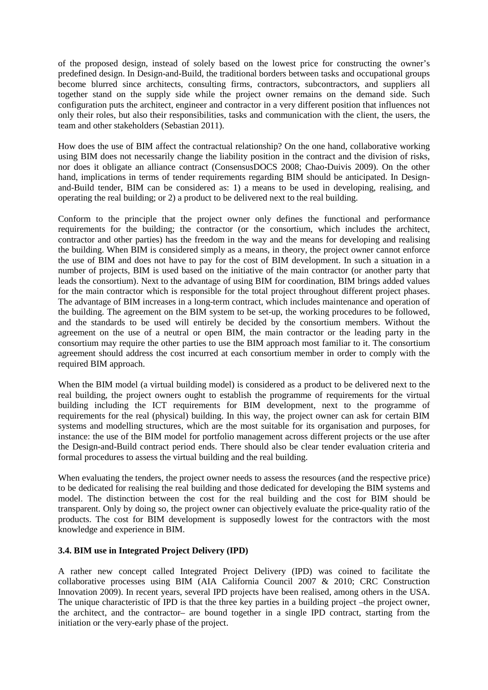of the proposed design, instead of solely based on the lowest price for constructing the owner's predefined design. In Design-and-Build, the traditional borders between tasks and occupational groups become blurred since architects, consulting firms, contractors, subcontractors, and suppliers all together stand on the supply side while the project owner remains on the demand side. Such configuration puts the architect, engineer and contractor in a very different position that influences not only their roles, but also their responsibilities, tasks and communication with the client, the users, the team and other stakeholders (Sebastian 2011).

How does the use of BIM affect the contractual relationship? On the one hand, collaborative working using BIM does not necessarily change the liability position in the contract and the division of risks, nor does it obligate an alliance contract (ConsensusDOCS 2008; Chao-Duivis 2009). On the other hand, implications in terms of tender requirements regarding BIM should be anticipated. In Designand-Build tender, BIM can be considered as: 1) a means to be used in developing, realising, and operating the real building; or 2) a product to be delivered next to the real building.

Conform to the principle that the project owner only defines the functional and performance requirements for the building; the contractor (or the consortium, which includes the architect, contractor and other parties) has the freedom in the way and the means for developing and realising the building. When BIM is considered simply as a means, in theory, the project owner cannot enforce the use of BIM and does not have to pay for the cost of BIM development. In such a situation in a number of projects, BIM is used based on the initiative of the main contractor (or another party that leads the consortium). Next to the advantage of using BIM for coordination, BIM brings added values for the main contractor which is responsible for the total project throughout different project phases. The advantage of BIM increases in a long-term contract, which includes maintenance and operation of the building. The agreement on the BIM system to be set-up, the working procedures to be followed, and the standards to be used will entirely be decided by the consortium members. Without the agreement on the use of a neutral or open BIM, the main contractor or the leading party in the consortium may require the other parties to use the BIM approach most familiar to it. The consortium agreement should address the cost incurred at each consortium member in order to comply with the required BIM approach.

When the BIM model (a virtual building model) is considered as a product to be delivered next to the real building, the project owners ought to establish the programme of requirements for the virtual building including the ICT requirements for BIM development, next to the programme of requirements for the real (physical) building. In this way, the project owner can ask for certain BIM systems and modelling structures, which are the most suitable for its organisation and purposes, for instance: the use of the BIM model for portfolio management across different projects or the use after the Design-and-Build contract period ends. There should also be clear tender evaluation criteria and formal procedures to assess the virtual building and the real building.

When evaluating the tenders, the project owner needs to assess the resources (and the respective price) to be dedicated for realising the real building and those dedicated for developing the BIM systems and model. The distinction between the cost for the real building and the cost for BIM should be transparent. Only by doing so, the project owner can objectively evaluate the price-quality ratio of the products. The cost for BIM development is supposedly lowest for the contractors with the most knowledge and experience in BIM.

#### **3.4. BIM use in Integrated Project Delivery (IPD)**

A rather new concept called Integrated Project Delivery (IPD) was coined to facilitate the collaborative processes using BIM (AIA California Council 2007 & 2010; CRC Construction Innovation 2009). In recent years, several IPD projects have been realised, among others in the USA. The unique characteristic of IPD is that the three key parties in a building project –the project owner, the architect, and the contractor– are bound together in a single IPD contract, starting from the initiation or the very-early phase of the project.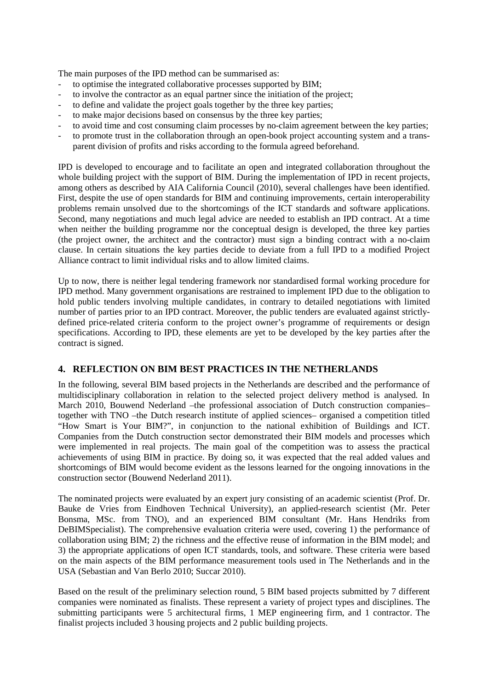The main purposes of the IPD method can be summarised as:

- to optimise the integrated collaborative processes supported by BIM;
- to involve the contractor as an equal partner since the initiation of the project;
- to define and validate the project goals together by the three key parties;
- to make major decisions based on consensus by the three key parties;
- to avoid time and cost consuming claim processes by no-claim agreement between the key parties;
- to promote trust in the collaboration through an open-book project accounting system and a transparent division of profits and risks according to the formula agreed beforehand.

IPD is developed to encourage and to facilitate an open and integrated collaboration throughout the whole building project with the support of BIM. During the implementation of IPD in recent projects, among others as described by AIA California Council (2010), several challenges have been identified. First, despite the use of open standards for BIM and continuing improvements, certain interoperability problems remain unsolved due to the shortcomings of the ICT standards and software applications. Second, many negotiations and much legal advice are needed to establish an IPD contract. At a time when neither the building programme nor the conceptual design is developed, the three key parties (the project owner, the architect and the contractor) must sign a binding contract with a no-claim clause. In certain situations the key parties decide to deviate from a full IPD to a modified Project Alliance contract to limit individual risks and to allow limited claims.

Up to now, there is neither legal tendering framework nor standardised formal working procedure for IPD method. Many government organisations are restrained to implement IPD due to the obligation to hold public tenders involving multiple candidates, in contrary to detailed negotiations with limited number of parties prior to an IPD contract. Moreover, the public tenders are evaluated against strictlydefined price-related criteria conform to the project owner's programme of requirements or design specifications. According to IPD, these elements are yet to be developed by the key parties after the contract is signed.

## **4. REFLECTION ON BIM BEST PRACTICES IN THE NETHERLANDS**

In the following, several BIM based projects in the Netherlands are described and the performance of multidisciplinary collaboration in relation to the selected project delivery method is analysed. In March 2010, Bouwend Nederland –the professional association of Dutch construction companies– together with TNO –the Dutch research institute of applied sciences– organised a competition titled "How Smart is Your BIM?", in conjunction to the national exhibition of Buildings and ICT. Companies from the Dutch construction sector demonstrated their BIM models and processes which were implemented in real projects. The main goal of the competition was to assess the practical achievements of using BIM in practice. By doing so, it was expected that the real added values and shortcomings of BIM would become evident as the lessons learned for the ongoing innovations in the construction sector (Bouwend Nederland 2011).

The nominated projects were evaluated by an expert jury consisting of an academic scientist (Prof. Dr. Bauke de Vries from Eindhoven Technical University), an applied-research scientist (Mr. Peter Bonsma, MSc. from TNO), and an experienced BIM consultant (Mr. Hans Hendriks from DeBIMSpecialist). The comprehensive evaluation criteria were used, covering 1) the performance of collaboration using BIM; 2) the richness and the effective reuse of information in the BIM model; and 3) the appropriate applications of open ICT standards, tools, and software. These criteria were based on the main aspects of the BIM performance measurement tools used in The Netherlands and in the USA (Sebastian and Van Berlo 2010; Succar 2010).

Based on the result of the preliminary selection round, 5 BIM based projects submitted by 7 different companies were nominated as finalists. These represent a variety of project types and disciplines. The submitting participants were 5 architectural firms, 1 MEP engineering firm, and 1 contractor. The finalist projects included 3 housing projects and 2 public building projects.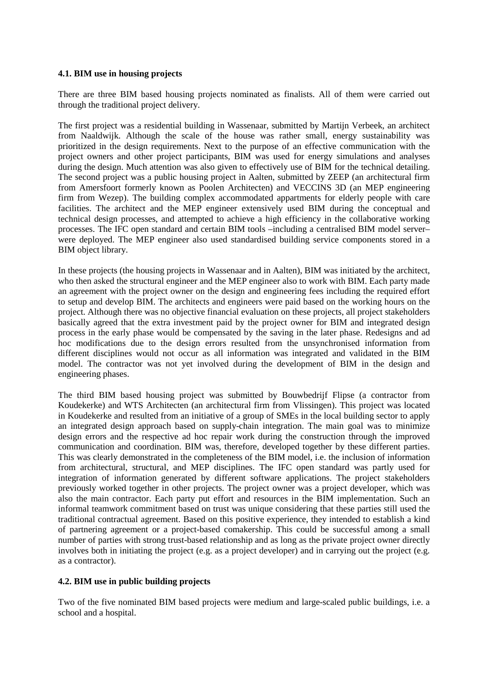#### **4.1. BIM use in housing projects**

There are three BIM based housing projects nominated as finalists. All of them were carried out through the traditional project delivery.

The first project was a residential building in Wassenaar, submitted by Martijn Verbeek, an architect from Naaldwijk. Although the scale of the house was rather small, energy sustainability was prioritized in the design requirements. Next to the purpose of an effective communication with the project owners and other project participants, BIM was used for energy simulations and analyses during the design. Much attention was also given to effectively use of BIM for the technical detailing. The second project was a public housing project in Aalten, submitted by ZEEP (an architectural firm from Amersfoort formerly known as Poolen Architecten) and VECCINS 3D (an MEP engineering firm from Wezep). The building complex accommodated appartments for elderly people with care facilities. The architect and the MEP engineer extensively used BIM during the conceptual and technical design processes, and attempted to achieve a high efficiency in the collaborative working processes. The IFC open standard and certain BIM tools –including a centralised BIM model server– were deployed. The MEP engineer also used standardised building service components stored in a BIM object library.

In these projects (the housing projects in Wassenaar and in Aalten), BIM was initiated by the architect, who then asked the structural engineer and the MEP engineer also to work with BIM. Each party made an agreement with the project owner on the design and engineering fees including the required effort to setup and develop BIM. The architects and engineers were paid based on the working hours on the project. Although there was no objective financial evaluation on these projects, all project stakeholders basically agreed that the extra investment paid by the project owner for BIM and integrated design process in the early phase would be compensated by the saving in the later phase. Redesigns and ad hoc modifications due to the design errors resulted from the unsynchronised information from different disciplines would not occur as all information was integrated and validated in the BIM model. The contractor was not yet involved during the development of BIM in the design and engineering phases.

The third BIM based housing project was submitted by Bouwbedrijf Flipse (a contractor from Koudekerke) and WTS Architecten (an architectural firm from Vlissingen). This project was located in Koudekerke and resulted from an initiative of a group of SMEs in the local building sector to apply an integrated design approach based on supply-chain integration. The main goal was to minimize design errors and the respective ad hoc repair work during the construction through the improved communication and coordination. BIM was, therefore, developed together by these different parties. This was clearly demonstrated in the completeness of the BIM model, i.e. the inclusion of information from architectural, structural, and MEP disciplines. The IFC open standard was partly used for integration of information generated by different software applications. The project stakeholders previously worked together in other projects. The project owner was a project developer, which was also the main contractor. Each party put effort and resources in the BIM implementation. Such an informal teamwork commitment based on trust was unique considering that these parties still used the traditional contractual agreement. Based on this positive experience, they intended to establish a kind of partnering agreement or a project-based comakership. This could be successful among a small number of parties with strong trust-based relationship and as long as the private project owner directly involves both in initiating the project (e.g. as a project developer) and in carrying out the project (e.g. as a contractor).

#### **4.2. BIM use in public building projects**

Two of the five nominated BIM based projects were medium and large-scaled public buildings, i.e. a school and a hospital.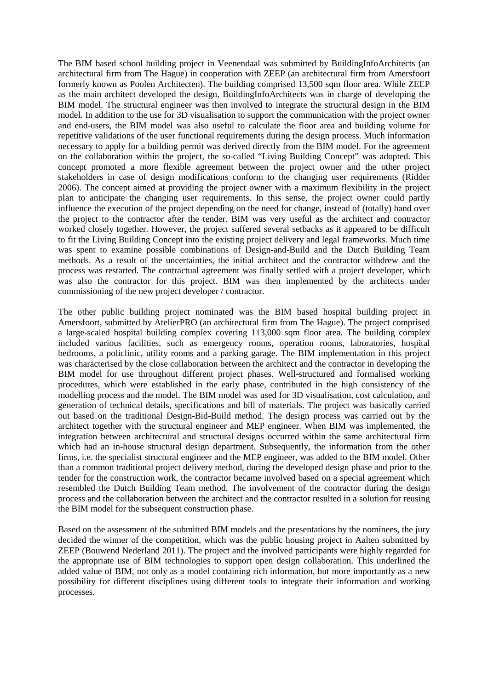The BIM based school building project in Veenendaal was submitted by BuildingInfoArchitects (an architectural firm from The Hague) in cooperation with ZEEP (an architectural firm from Amersfoort formerly known as Poolen Architecten). The building comprised 13,500 sqm floor area. While ZEEP as the main architect developed the design, BuildingInfoArchitects was in charge of developing the BIM model. The structural engineer was then involved to integrate the structural design in the BIM model. In addition to the use for 3D visualisation to support the communication with the project owner and end-users, the BIM model was also useful to calculate the floor area and building volume for repetitive validations of the user functional requirements during the design process. Much information necessary to apply for a building permit was derived directly from the BIM model. For the agreement on the collaboration within the project, the so-called "Living Building Concept" was adopted. This concept promoted a more flexible agreement between the project owner and the other project stakeholders in case of design modifications conform to the changing user requirements (Ridder 2006). The concept aimed at providing the project owner with a maximum flexibility in the project plan to anticipate the changing user requirements. In this sense, the project owner could partly influence the execution of the project depending on the need for change, instead of (totally) hand over the project to the contractor after the tender. BIM was very useful as the architect and contractor worked closely together. However, the project suffered several setbacks as it appeared to be difficult to fit the Living Building Concept into the existing project delivery and legal frameworks. Much time was spent to examine possible combinations of Design-and-Build and the Dutch Building Team methods. As a result of the uncertainties, the initial architect and the contractor withdrew and the process was restarted. The contractual agreement was finally settled with a project developer, which was also the contractor for this project. BIM was then implemented by the architects under commissioning of the new project developer / contractor.

The other public building project nominated was the BIM based hospital building project in Amersfoort, submitted by AtelierPRO (an architectural firm from The Hague). The project comprised a large-scaled hospital building complex covering 113,000 sqm floor area. The building complex included various facilities, such as emergency rooms, operation rooms, laboratories, hospital bedrooms, a policlinic, utility rooms and a parking garage. The BIM implementation in this project was characterised by the close collaboration between the architect and the contractor in developing the BIM model for use throughout different project phases. Well-structured and formalised working procedures, which were established in the early phase, contributed in the high consistency of the modelling process and the model. The BIM model was used for 3D visualisation, cost calculation, and generation of technical details, specifications and bill of materials. The project was basically carried out based on the traditional Design-Bid-Build method. The design process was carried out by the architect together with the structural engineer and MEP engineer. When BIM was implemented, the integration between architectural and structural designs occurred within the same architectural firm which had an in-house structural design department. Subsequently, the information from the other firms, i.e. the specialist structural engineer and the MEP engineer, was added to the BIM model. Other than a common traditional project delivery method, during the developed design phase and prior to the tender for the construction work, the contractor became involved based on a special agreement which resembled the Dutch Building Team method. The involvement of the contractor during the design process and the collaboration between the architect and the contractor resulted in a solution for reusing the BIM model for the subsequent construction phase.

Based on the assessment of the submitted BIM models and the presentations by the nominees, the jury decided the winner of the competition, which was the public housing project in Aalten submitted by ZEEP (Bouwend Nederland 2011). The project and the involved participants were highly regarded for the appropriate use of BIM technologies to support open design collaboration. This underlined the added value of BIM, not only as a model containing rich information, but more importantly as a new possibility for different disciplines using different tools to integrate their information and working processes.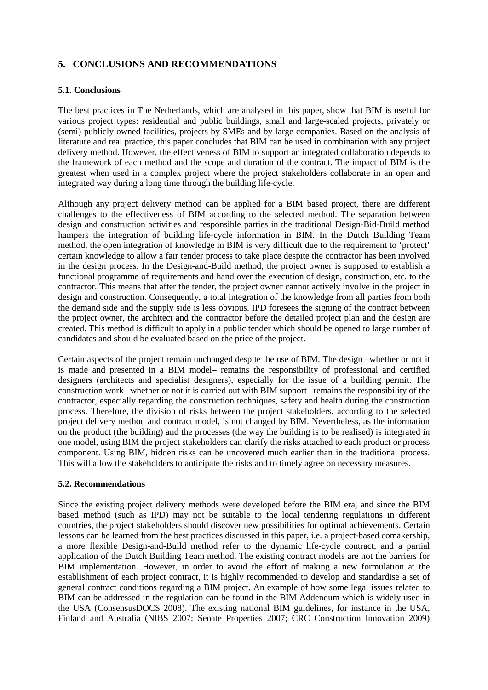# **5. CONCLUSIONS AND RECOMMENDATIONS**

#### **5.1. Conclusions**

The best practices in The Netherlands, which are analysed in this paper, show that BIM is useful for various project types: residential and public buildings, small and large-scaled projects, privately or (semi) publicly owned facilities, projects by SMEs and by large companies. Based on the analysis of literature and real practice, this paper concludes that BIM can be used in combination with any project delivery method. However, the effectiveness of BIM to support an integrated collaboration depends to the framework of each method and the scope and duration of the contract. The impact of BIM is the greatest when used in a complex project where the project stakeholders collaborate in an open and integrated way during a long time through the building life-cycle.

Although any project delivery method can be applied for a BIM based project, there are different challenges to the effectiveness of BIM according to the selected method. The separation between design and construction activities and responsible parties in the traditional Design-Bid-Build method hampers the integration of building life-cycle information in BIM. In the Dutch Building Team method, the open integration of knowledge in BIM is very difficult due to the requirement to 'protect' certain knowledge to allow a fair tender process to take place despite the contractor has been involved in the design process. In the Design-and-Build method, the project owner is supposed to establish a functional programme of requirements and hand over the execution of design, construction, etc. to the contractor. This means that after the tender, the project owner cannot actively involve in the project in design and construction. Consequently, a total integration of the knowledge from all parties from both the demand side and the supply side is less obvious. IPD foresees the signing of the contract between the project owner, the architect and the contractor before the detailed project plan and the design are created. This method is difficult to apply in a public tender which should be opened to large number of candidates and should be evaluated based on the price of the project.

Certain aspects of the project remain unchanged despite the use of BIM. The design –whether or not it is made and presented in a BIM model– remains the responsibility of professional and certified designers (architects and specialist designers), especially for the issue of a building permit. The construction work –whether or not it is carried out with BIM support– remains the responsibility of the contractor, especially regarding the construction techniques, safety and health during the construction process. Therefore, the division of risks between the project stakeholders, according to the selected project delivery method and contract model, is not changed by BIM. Nevertheless, as the information on the product (the building) and the processes (the way the building is to be realised) is integrated in one model, using BIM the project stakeholders can clarify the risks attached to each product or process component. Using BIM, hidden risks can be uncovered much earlier than in the traditional process. This will allow the stakeholders to anticipate the risks and to timely agree on necessary measures.

#### **5.2. Recommendations**

Since the existing project delivery methods were developed before the BIM era, and since the BIM based method (such as IPD) may not be suitable to the local tendering regulations in different countries, the project stakeholders should discover new possibilities for optimal achievements. Certain lessons can be learned from the best practices discussed in this paper, i.e. a project-based comakership, a more flexible Design-and-Build method refer to the dynamic life-cycle contract, and a partial application of the Dutch Building Team method. The existing contract models are not the barriers for BIM implementation. However, in order to avoid the effort of making a new formulation at the establishment of each project contract, it is highly recommended to develop and standardise a set of general contract conditions regarding a BIM project. An example of how some legal issues related to BIM can be addressed in the regulation can be found in the BIM Addendum which is widely used in the USA (ConsensusDOCS 2008). The existing national BIM guidelines, for instance in the USA, Finland and Australia (NIBS 2007; Senate Properties 2007; CRC Construction Innovation 2009)